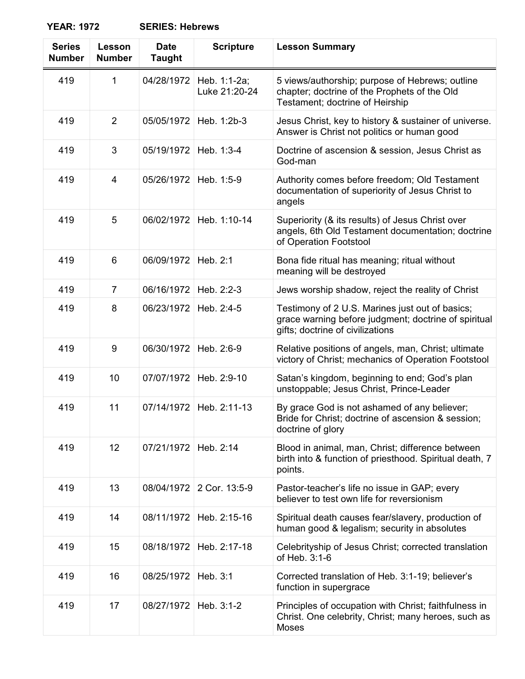| <b>Series</b><br><b>Number</b> | Lesson<br><b>Number</b> | <b>Date</b><br><b>Taught</b> | <b>Scripture</b>              | <b>Lesson Summary</b>                                                                                                                       |
|--------------------------------|-------------------------|------------------------------|-------------------------------|---------------------------------------------------------------------------------------------------------------------------------------------|
| 419                            | 1                       | 04/28/1972                   | Heb. 1:1-2a;<br>Luke 21:20-24 | 5 views/authorship; purpose of Hebrews; outline<br>chapter; doctrine of the Prophets of the Old<br>Testament; doctrine of Heirship          |
| 419                            | $\overline{2}$          | 05/05/1972                   | Heb. 1:2b-3                   | Jesus Christ, key to history & sustainer of universe.<br>Answer is Christ not politics or human good                                        |
| 419                            | 3                       | 05/19/1972                   | Heb. 1:3-4                    | Doctrine of ascension & session, Jesus Christ as<br>God-man                                                                                 |
| 419                            | $\overline{4}$          | 05/26/1972                   | Heb. 1:5-9                    | Authority comes before freedom; Old Testament<br>documentation of superiority of Jesus Christ to<br>angels                                  |
| 419                            | 5                       | 06/02/1972                   | Heb. 1:10-14                  | Superiority (& its results) of Jesus Christ over<br>angels, 6th Old Testament documentation; doctrine<br>of Operation Footstool             |
| 419                            | 6                       | 06/09/1972                   | Heb. 2:1                      | Bona fide ritual has meaning; ritual without<br>meaning will be destroyed                                                                   |
| 419                            | $\overline{7}$          | 06/16/1972                   | Heb. 2:2-3                    | Jews worship shadow, reject the reality of Christ                                                                                           |
| 419                            | 8                       | 06/23/1972                   | Heb. 2:4-5                    | Testimony of 2 U.S. Marines just out of basics;<br>grace warning before judgment; doctrine of spiritual<br>gifts; doctrine of civilizations |
| 419                            | 9                       | 06/30/1972                   | Heb. 2:6-9                    | Relative positions of angels, man, Christ; ultimate<br>victory of Christ; mechanics of Operation Footstool                                  |
| 419                            | 10                      | 07/07/1972                   | Heb. 2:9-10                   | Satan's kingdom, beginning to end; God's plan<br>unstoppable; Jesus Christ, Prince-Leader                                                   |
| 419                            | 11                      | 07/14/1972                   | Heb. 2:11-13                  | By grace God is not ashamed of any believer;<br>Bride for Christ; doctrine of ascension & session;<br>doctrine of glory                     |
| 419                            | 12                      | 07/21/1972                   | Heb. 2:14                     | Blood in animal, man, Christ; difference between<br>birth into & function of priesthood. Spiritual death, 7<br>points.                      |
| 419                            | 13                      | 08/04/1972                   | 2 Cor. 13:5-9                 | Pastor-teacher's life no issue in GAP; every<br>believer to test own life for reversionism                                                  |
| 419                            | 14                      | 08/11/1972                   | Heb. 2:15-16                  | Spiritual death causes fear/slavery, production of<br>human good & legalism; security in absolutes                                          |
| 419                            | 15                      | 08/18/1972                   | Heb. 2:17-18                  | Celebrityship of Jesus Christ; corrected translation<br>of Heb. 3:1-6                                                                       |
| 419                            | 16                      | 08/25/1972                   | Heb. 3:1                      | Corrected translation of Heb. 3:1-19; believer's<br>function in supergrace                                                                  |

419 17 08/27/1972 Heb. 3:1-2 Principles of occupation with Christ; faithfulness in Christ. One celebrity, Christ; many heroes, such as Moses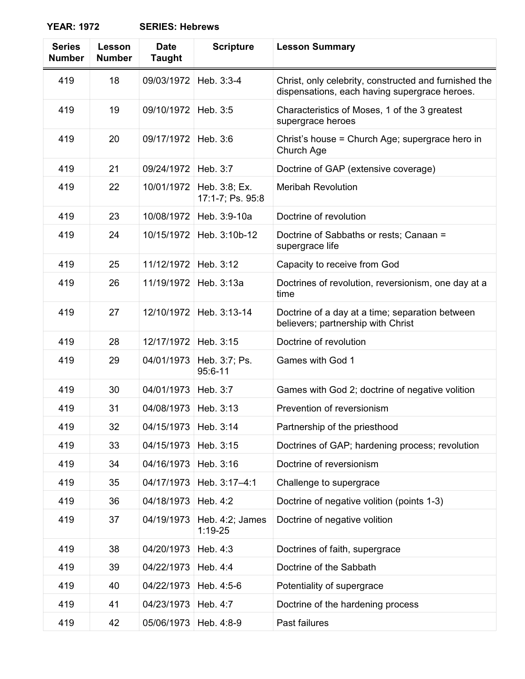| <b>Series</b><br><b>Number</b> | Lesson<br><b>Number</b> | <b>Date</b><br><b>Taught</b> | <b>Scripture</b>                  | <b>Lesson Summary</b>                                                                                  |
|--------------------------------|-------------------------|------------------------------|-----------------------------------|--------------------------------------------------------------------------------------------------------|
| 419                            | 18                      | 09/03/1972                   | Heb. 3:3-4                        | Christ, only celebrity, constructed and furnished the<br>dispensations, each having supergrace heroes. |
| 419                            | 19                      | 09/10/1972                   | Heb. 3:5                          | Characteristics of Moses, 1 of the 3 greatest<br>supergrace heroes                                     |
| 419                            | 20                      | 09/17/1972                   | Heb. 3:6                          | Christ's house = Church Age; supergrace hero in<br>Church Age                                          |
| 419                            | 21                      | 09/24/1972                   | Heb. 3:7                          | Doctrine of GAP (extensive coverage)                                                                   |
| 419                            | 22                      | 10/01/1972                   | Heb. 3:8; Ex.<br>17:1-7; Ps. 95:8 | <b>Meribah Revolution</b>                                                                              |
| 419                            | 23                      | 10/08/1972                   | Heb. 3:9-10a                      | Doctrine of revolution                                                                                 |
| 419                            | 24                      | 10/15/1972                   | Heb. 3:10b-12                     | Doctrine of Sabbaths or rests; Canaan =<br>supergrace life                                             |
| 419                            | 25                      | 11/12/1972                   | Heb. 3:12                         | Capacity to receive from God                                                                           |
| 419                            | 26                      | 11/19/1972                   | Heb. 3:13a                        | Doctrines of revolution, reversionism, one day at a<br>time                                            |
| 419                            | 27                      | 12/10/1972                   | Heb. 3:13-14                      | Doctrine of a day at a time; separation between<br>believers; partnership with Christ                  |
| 419                            | 28                      | 12/17/1972                   | Heb. 3:15                         | Doctrine of revolution                                                                                 |
| 419                            | 29                      | 04/01/1973                   | Heb. 3:7; Ps.<br>95:6-11          | Games with God 1                                                                                       |
| 419                            | 30                      | 04/01/1973                   | Heb. 3:7                          | Games with God 2; doctrine of negative volition                                                        |
| 419                            | 31                      | 04/08/1973                   | Heb. 3:13                         | Prevention of reversionism                                                                             |
| 419                            | 32                      | 04/15/1973                   | Heb. 3:14                         | Partnership of the priesthood                                                                          |
| 419                            | 33                      | 04/15/1973                   | Heb. 3:15                         | Doctrines of GAP; hardening process; revolution                                                        |
| 419                            | 34                      | 04/16/1973                   | Heb. 3:16                         | Doctrine of reversionism                                                                               |
| 419                            | 35                      | 04/17/1973                   | Heb. 3:17-4:1                     | Challenge to supergrace                                                                                |
| 419                            | 36                      | 04/18/1973                   | Heb. 4:2                          | Doctrine of negative volition (points 1-3)                                                             |
| 419                            | 37                      | 04/19/1973                   | Heb. 4:2; James<br>$1:19-25$      | Doctrine of negative volition                                                                          |
| 419                            | 38                      | 04/20/1973                   | Heb. 4:3                          | Doctrines of faith, supergrace                                                                         |
| 419                            | 39                      | 04/22/1973                   | Heb. 4:4                          | Doctrine of the Sabbath                                                                                |
| 419                            | 40                      | 04/22/1973                   | Heb. 4:5-6                        | Potentiality of supergrace                                                                             |
| 419                            | 41                      | 04/23/1973                   | Heb. 4:7                          | Doctrine of the hardening process                                                                      |
| 419                            | 42                      | 05/06/1973                   | Heb. 4:8-9                        | Past failures                                                                                          |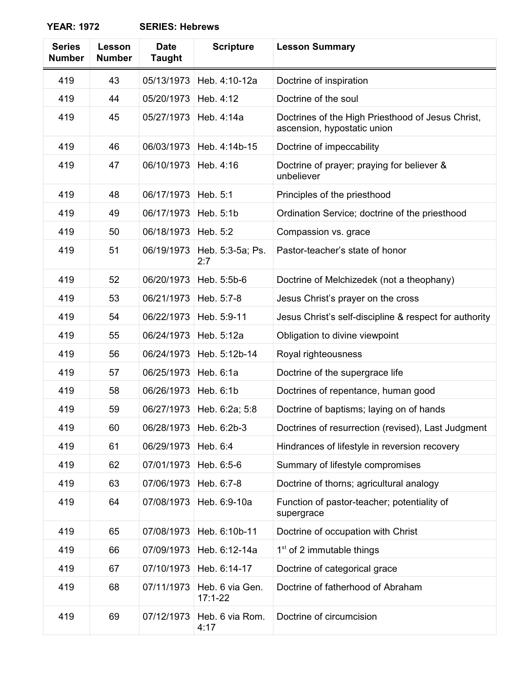| <b>Series</b><br><b>Number</b> | Lesson<br><b>Number</b> | <b>Date</b><br><b>Taught</b> | <b>Scripture</b>               | <b>Lesson Summary</b>                                                            |
|--------------------------------|-------------------------|------------------------------|--------------------------------|----------------------------------------------------------------------------------|
| 419                            | 43                      | 05/13/1973                   | Heb. 4:10-12a                  | Doctrine of inspiration                                                          |
| 419                            | 44                      | 05/20/1973                   | Heb. 4:12                      | Doctrine of the soul                                                             |
| 419                            | 45                      | 05/27/1973                   | Heb. 4:14a                     | Doctrines of the High Priesthood of Jesus Christ,<br>ascension, hypostatic union |
| 419                            | 46                      | 06/03/1973                   | Heb. 4:14b-15                  | Doctrine of impeccability                                                        |
| 419                            | 47                      | 06/10/1973                   | Heb. 4:16                      | Doctrine of prayer; praying for believer &<br>unbeliever                         |
| 419                            | 48                      | 06/17/1973                   | Heb. 5:1                       | Principles of the priesthood                                                     |
| 419                            | 49                      | 06/17/1973                   | Heb. 5:1b                      | Ordination Service; doctrine of the priesthood                                   |
| 419                            | 50                      | 06/18/1973                   | Heb. 5:2                       | Compassion vs. grace                                                             |
| 419                            | 51                      | 06/19/1973                   | Heb. 5:3-5a; Ps.<br>2:7        | Pastor-teacher's state of honor                                                  |
| 419                            | 52                      | 06/20/1973                   | Heb. 5:5b-6                    | Doctrine of Melchizedek (not a theophany)                                        |
| 419                            | 53                      | 06/21/1973                   | Heb. 5:7-8                     | Jesus Christ's prayer on the cross                                               |
| 419                            | 54                      | 06/22/1973                   | Heb. 5:9-11                    | Jesus Christ's self-discipline & respect for authority                           |
| 419                            | 55                      | 06/24/1973                   | Heb. 5:12a                     | Obligation to divine viewpoint                                                   |
| 419                            | 56                      | 06/24/1973                   | Heb. 5:12b-14                  | Royal righteousness                                                              |
| 419                            | 57                      | 06/25/1973                   | Heb. 6:1a                      | Doctrine of the supergrace life                                                  |
| 419                            | 58                      | 06/26/1973                   | Heb. 6:1b                      | Doctrines of repentance, human good                                              |
| 419                            | 59                      | 06/27/1973                   | Heb. 6:2a; 5:8                 | Doctrine of baptisms; laying on of hands                                         |
| 419                            | 60                      | 06/28/1973                   | Heb. 6:2b-3                    | Doctrines of resurrection (revised), Last Judgment                               |
| 419                            | 61                      | 06/29/1973                   | Heb. 6:4                       | Hindrances of lifestyle in reversion recovery                                    |
| 419                            | 62                      | 07/01/1973                   | Heb. 6:5-6                     | Summary of lifestyle compromises                                                 |
| 419                            | 63                      | 07/06/1973                   | Heb. 6:7-8                     | Doctrine of thorns; agricultural analogy                                         |
| 419                            | 64                      | 07/08/1973                   | Heb. 6:9-10a                   | Function of pastor-teacher; potentiality of<br>supergrace                        |
| 419                            | 65                      | 07/08/1973                   | Heb. 6:10b-11                  | Doctrine of occupation with Christ                                               |
| 419                            | 66                      | 07/09/1973                   | Heb. 6:12-14a                  | $1st$ of 2 immutable things                                                      |
| 419                            | 67                      | 07/10/1973                   | Heb. 6:14-17                   | Doctrine of categorical grace                                                    |
| 419                            | 68                      | 07/11/1973                   | Heb. 6 via Gen.<br>$17:1 - 22$ | Doctrine of fatherhood of Abraham                                                |
| 419                            | 69                      | 07/12/1973                   | Heb. 6 via Rom.<br>4:17        | Doctrine of circumcision                                                         |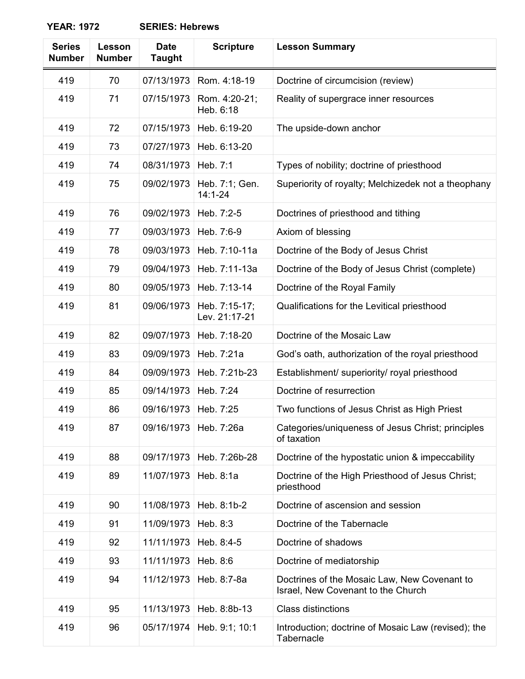| <b>Series</b><br><b>Number</b> | Lesson<br><b>Number</b> | <b>Date</b><br><b>Taught</b> | <b>Scripture</b>               | <b>Lesson Summary</b>                                                              |
|--------------------------------|-------------------------|------------------------------|--------------------------------|------------------------------------------------------------------------------------|
| 419                            | 70                      | 07/13/1973                   | Rom. 4:18-19                   | Doctrine of circumcision (review)                                                  |
| 419                            | 71                      | 07/15/1973                   | Rom. 4:20-21;<br>Heb. 6:18     | Reality of supergrace inner resources                                              |
| 419                            | 72                      | 07/15/1973                   | Heb. 6:19-20                   | The upside-down anchor                                                             |
| 419                            | 73                      | 07/27/1973                   | Heb. 6:13-20                   |                                                                                    |
| 419                            | 74                      | 08/31/1973                   | Heb. 7:1                       | Types of nobility; doctrine of priesthood                                          |
| 419                            | 75                      | 09/02/1973                   | Heb. 7:1; Gen.<br>$14:1 - 24$  | Superiority of royalty; Melchizedek not a theophany                                |
| 419                            | 76                      | 09/02/1973                   | Heb. 7:2-5                     | Doctrines of priesthood and tithing                                                |
| 419                            | 77                      | 09/03/1973                   | Heb. 7:6-9                     | Axiom of blessing                                                                  |
| 419                            | 78                      | 09/03/1973                   | Heb. 7:10-11a                  | Doctrine of the Body of Jesus Christ                                               |
| 419                            | 79                      | 09/04/1973                   | Heb. 7:11-13a                  | Doctrine of the Body of Jesus Christ (complete)                                    |
| 419                            | 80                      | 09/05/1973                   | Heb. 7:13-14                   | Doctrine of the Royal Family                                                       |
| 419                            | 81                      | 09/06/1973                   | Heb. 7:15-17;<br>Lev. 21:17-21 | Qualifications for the Levitical priesthood                                        |
| 419                            | 82                      | 09/07/1973                   | Heb. 7:18-20                   | Doctrine of the Mosaic Law                                                         |
| 419                            | 83                      | 09/09/1973                   | Heb. 7:21a                     | God's oath, authorization of the royal priesthood                                  |
| 419                            | 84                      | 09/09/1973                   | Heb. 7:21b-23                  | Establishment/ superiority/ royal priesthood                                       |
| 419                            | 85                      | 09/14/1973                   | Heb. 7:24                      | Doctrine of resurrection                                                           |
| 419                            | 86                      | 09/16/1973                   | Heb. 7:25                      | Two functions of Jesus Christ as High Priest                                       |
| 419                            | 87                      | 09/16/1973                   | Heb. 7:26a                     | Categories/uniqueness of Jesus Christ; principles<br>of taxation                   |
| 419                            | 88                      | 09/17/1973                   | Heb. 7:26b-28                  | Doctrine of the hypostatic union & impeccability                                   |
| 419                            | 89                      | 11/07/1973                   | Heb. 8:1a                      | Doctrine of the High Priesthood of Jesus Christ;<br>priesthood                     |
| 419                            | 90                      | 11/08/1973                   | Heb. 8:1b-2                    | Doctrine of ascension and session                                                  |
| 419                            | 91                      | 11/09/1973                   | Heb. 8:3                       | Doctrine of the Tabernacle                                                         |
| 419                            | 92                      | 11/11/1973                   | Heb. 8:4-5                     | Doctrine of shadows                                                                |
| 419                            | 93                      | 11/11/1973                   | Heb. 8:6                       | Doctrine of mediatorship                                                           |
| 419                            | 94                      | 11/12/1973                   | Heb. 8:7-8a                    | Doctrines of the Mosaic Law, New Covenant to<br>Israel, New Covenant to the Church |
| 419                            | 95                      | 11/13/1973                   | Heb. 8:8b-13                   | <b>Class distinctions</b>                                                          |
| 419                            | 96                      | 05/17/1974                   | Heb. 9:1; 10:1                 | Introduction; doctrine of Mosaic Law (revised); the<br>Tabernacle                  |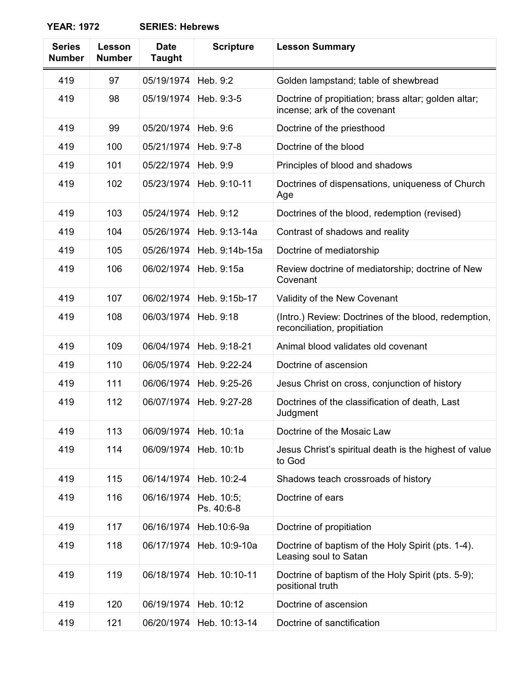| <b>Series</b><br><b>Number</b> | Lesson<br><b>Number</b> | <b>Date</b><br><b>Taught</b> | <b>Scripture</b>         | <b>Lesson Summary</b>                                                                |
|--------------------------------|-------------------------|------------------------------|--------------------------|--------------------------------------------------------------------------------------|
| 419                            | 97                      | 05/19/1974                   | Heb. 9:2                 | Golden lampstand; table of shewbread                                                 |
| 419                            | 98                      | 05/19/1974                   | Heb. 9:3-5               | Doctrine of propitiation; brass altar; golden altar;<br>incense; ark of the covenant |
| 419                            | 99                      | 05/20/1974                   | Heb. 9:6                 | Doctrine of the priesthood                                                           |
| 419                            | 100                     | 05/21/1974                   | Heb. 9:7-8               | Doctrine of the blood                                                                |
| 419                            | 101                     | 05/22/1974                   | Heb. 9:9                 | Principles of blood and shadows                                                      |
| 419                            | 102                     | 05/23/1974                   | Heb. 9:10-11             | Doctrines of dispensations, uniqueness of Church<br>Age                              |
| 419                            | 103                     | 05/24/1974                   | Heb. 9:12                | Doctrines of the blood, redemption (revised)                                         |
| 419                            | 104                     | 05/26/1974                   | Heb. 9:13-14a            | Contrast of shadows and reality                                                      |
| 419                            | 105                     | 05/26/1974                   | Heb. 9:14b-15a           | Doctrine of mediatorship                                                             |
| 419                            | 106                     | 06/02/1974                   | Heb. 9:15a               | Review doctrine of mediatorship; doctrine of New<br>Covenant                         |
| 419                            | 107                     | 06/02/1974                   | Heb. 9:15b-17            | Validity of the New Covenant                                                         |
| 419                            | 108                     | 06/03/1974                   | Heb. 9:18                | (Intro.) Review: Doctrines of the blood, redemption,<br>reconciliation, propitiation |
| 419                            | 109                     | 06/04/1974                   | Heb. 9:18-21             | Animal blood validates old covenant                                                  |
| 419                            | 110                     | 06/05/1974                   | Heb. 9:22-24             | Doctrine of ascension                                                                |
| 419                            | 111                     | 06/06/1974                   | Heb. 9:25-26             | Jesus Christ on cross, conjunction of history                                        |
| 419                            | 112                     | 06/07/1974                   | Heb. 9:27-28             | Doctrines of the classification of death, Last<br>Judgment                           |
| 419                            | 113                     | 06/09/1974                   | Heb. 10:1a               | Doctrine of the Mosaic Law                                                           |
| 419                            | 114                     | 06/09/1974                   | Heb. 10:1b               | Jesus Christ's spiritual death is the highest of value<br>to God                     |
| 419                            | 115                     | 06/14/1974                   | Heb. 10:2-4              | Shadows teach crossroads of history                                                  |
| 419                            | 116                     | 06/16/1974                   | Heb. 10:5;<br>Ps. 40:6-8 | Doctrine of ears                                                                     |
| 419                            | 117                     | 06/16/1974                   | Heb.10:6-9a              | Doctrine of propitiation                                                             |
| 419                            | 118                     | 06/17/1974                   | Heb. 10:9-10a            | Doctrine of baptism of the Holy Spirit (pts. 1-4).<br>Leasing soul to Satan          |
| 419                            | 119                     | 06/18/1974                   | Heb. 10:10-11            | Doctrine of baptism of the Holy Spirit (pts. 5-9);<br>positional truth               |
| 419                            | 120                     | 06/19/1974                   | Heb. 10:12               | Doctrine of ascension                                                                |
| 419                            | 121                     | 06/20/1974                   | Heb. 10:13-14            | Doctrine of sanctification                                                           |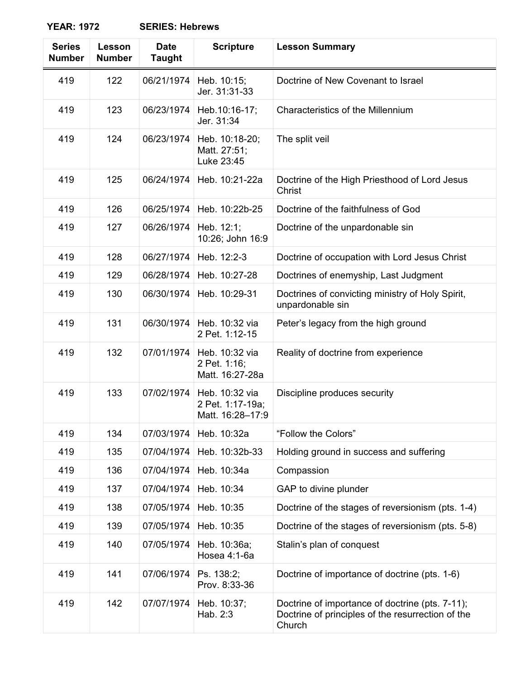**YEAR: 1972** 

| <b>Series</b><br><b>Number</b> | Lesson<br><b>Number</b> | <b>Date</b><br><b>Taught</b> | <b>Scripture</b>                                       | <b>Lesson Summary</b>                                                                                          |
|--------------------------------|-------------------------|------------------------------|--------------------------------------------------------|----------------------------------------------------------------------------------------------------------------|
| 419                            | 122                     | 06/21/1974                   | Heb. 10:15;<br>Jer. 31:31-33                           | Doctrine of New Covenant to Israel                                                                             |
| 419                            | 123                     | 06/23/1974                   | Heb.10:16-17;<br>Jer. 31:34                            | Characteristics of the Millennium                                                                              |
| 419                            | 124                     | 06/23/1974                   | Heb. 10:18-20;<br>Matt. 27:51;<br>Luke 23:45           | The split veil                                                                                                 |
| 419                            | 125                     | 06/24/1974                   | Heb. 10:21-22a                                         | Doctrine of the High Priesthood of Lord Jesus<br>Christ                                                        |
| 419                            | 126                     | 06/25/1974                   | Heb. 10:22b-25                                         | Doctrine of the faithfulness of God                                                                            |
| 419                            | 127                     | 06/26/1974                   | Heb. 12:1;<br>10:26; John 16:9                         | Doctrine of the unpardonable sin                                                                               |
| 419                            | 128                     | 06/27/1974                   | Heb. 12:2-3                                            | Doctrine of occupation with Lord Jesus Christ                                                                  |
| 419                            | 129                     | 06/28/1974                   | Heb. 10:27-28                                          | Doctrines of enemyship, Last Judgment                                                                          |
| 419                            | 130                     | 06/30/1974                   | Heb. 10:29-31                                          | Doctrines of convicting ministry of Holy Spirit,<br>unpardonable sin                                           |
| 419                            | 131                     | 06/30/1974                   | Heb. 10:32 via<br>2 Pet. 1:12-15                       | Peter's legacy from the high ground                                                                            |
| 419                            | 132                     | 07/01/1974                   | Heb. 10:32 via<br>2 Pet. 1:16;<br>Matt. 16:27-28a      | Reality of doctrine from experience                                                                            |
| 419                            | 133                     | 07/02/1974                   | Heb. 10:32 via<br>2 Pet. 1:17-19a;<br>Matt. 16:28-17:9 | Discipline produces security                                                                                   |
| 419                            | 134                     | 07/03/1974                   | Heb. 10:32a                                            | "Follow the Colors"                                                                                            |
| 419                            | 135                     | 07/04/1974                   | Heb. 10:32b-33                                         | Holding ground in success and suffering                                                                        |
| 419                            | 136                     | 07/04/1974                   | Heb. 10:34a                                            | Compassion                                                                                                     |
| 419                            | 137                     | 07/04/1974                   | Heb. 10:34                                             | GAP to divine plunder                                                                                          |
| 419                            | 138                     | 07/05/1974                   | Heb. 10:35                                             | Doctrine of the stages of reversionism (pts. 1-4)                                                              |
| 419                            | 139                     | 07/05/1974                   | Heb. 10:35                                             | Doctrine of the stages of reversionism (pts. 5-8)                                                              |
| 419                            | 140                     | 07/05/1974                   | Heb. 10:36a;<br>Hosea 4:1-6a                           | Stalin's plan of conquest                                                                                      |
| 419                            | 141                     | 07/06/1974                   | Ps. 138:2;<br>Prov. 8:33-36                            | Doctrine of importance of doctrine (pts. 1-6)                                                                  |
| 419                            | 142                     | 07/07/1974                   | Heb. 10:37;<br>Hab. 2:3                                | Doctrine of importance of doctrine (pts. 7-11);<br>Doctrine of principles of the resurrection of the<br>Church |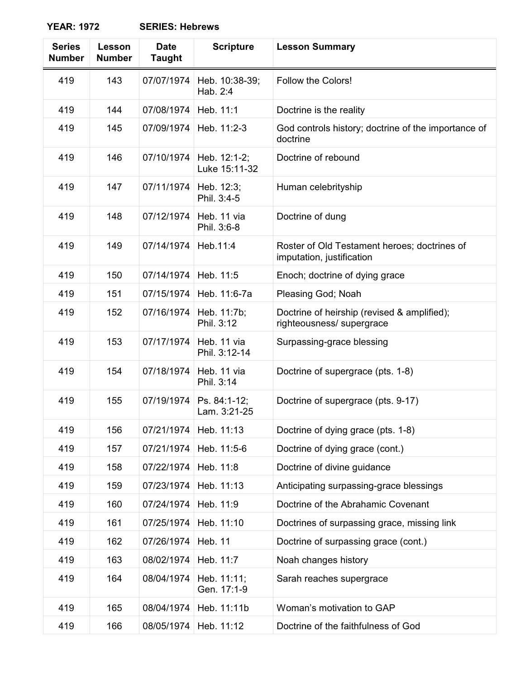| <b>Series</b><br><b>Number</b> | Lesson<br><b>Number</b> | <b>Date</b><br><b>Taught</b> | <b>Scripture</b>              | <b>Lesson Summary</b>                                                     |
|--------------------------------|-------------------------|------------------------------|-------------------------------|---------------------------------------------------------------------------|
| 419                            | 143                     | 07/07/1974                   | Heb. 10:38-39;<br>Hab. 2:4    | Follow the Colors!                                                        |
| 419                            | 144                     | 07/08/1974                   | Heb. 11:1                     | Doctrine is the reality                                                   |
| 419                            | 145                     | 07/09/1974                   | Heb. 11:2-3                   | God controls history; doctrine of the importance of<br>doctrine           |
| 419                            | 146                     | 07/10/1974                   | Heb. 12:1-2;<br>Luke 15:11-32 | Doctrine of rebound                                                       |
| 419                            | 147                     | 07/11/1974                   | Heb. 12:3;<br>Phil. 3:4-5     | Human celebrityship                                                       |
| 419                            | 148                     | 07/12/1974                   | Heb. 11 via<br>Phil. 3:6-8    | Doctrine of dung                                                          |
| 419                            | 149                     | 07/14/1974                   | Heb.11:4                      | Roster of Old Testament heroes; doctrines of<br>imputation, justification |
| 419                            | 150                     | 07/14/1974                   | Heb. 11:5                     | Enoch; doctrine of dying grace                                            |
| 419                            | 151                     | 07/15/1974                   | Heb. 11:6-7a                  | Pleasing God; Noah                                                        |
| 419                            | 152                     | 07/16/1974                   | Heb. 11:7b;<br>Phil. 3:12     | Doctrine of heirship (revised & amplified);<br>righteousness/ supergrace  |
| 419                            | 153                     | 07/17/1974                   | Heb. 11 via<br>Phil. 3:12-14  | Surpassing-grace blessing                                                 |
| 419                            | 154                     | 07/18/1974                   | Heb. 11 via<br>Phil. 3:14     | Doctrine of supergrace (pts. 1-8)                                         |
| 419                            | 155                     | 07/19/1974                   | Ps. 84:1-12;<br>Lam. 3:21-25  | Doctrine of supergrace (pts. 9-17)                                        |
| 419                            | 156                     | 07/21/1974                   | Heb. 11:13                    | Doctrine of dying grace (pts. 1-8)                                        |
| 419                            | 157                     | 07/21/1974                   | Heb. 11:5-6                   | Doctrine of dying grace (cont.)                                           |
| 419                            | 158                     | 07/22/1974                   | Heb. 11:8                     | Doctrine of divine guidance                                               |
| 419                            | 159                     | 07/23/1974                   | Heb. 11:13                    | Anticipating surpassing-grace blessings                                   |
| 419                            | 160                     | 07/24/1974                   | Heb. 11:9                     | Doctrine of the Abrahamic Covenant                                        |
| 419                            | 161                     | 07/25/1974                   | Heb. 11:10                    | Doctrines of surpassing grace, missing link                               |
| 419                            | 162                     | 07/26/1974                   | <b>Heb. 11</b>                | Doctrine of surpassing grace (cont.)                                      |
| 419                            | 163                     | 08/02/1974                   | Heb. 11:7                     | Noah changes history                                                      |
| 419                            | 164                     | 08/04/1974                   | Heb. 11:11;<br>Gen. 17:1-9    | Sarah reaches supergrace                                                  |
| 419                            | 165                     | 08/04/1974                   | Heb. 11:11b                   | Woman's motivation to GAP                                                 |

419 166 08/05/1974 Heb. 11:12 Doctrine of the faithfulness of God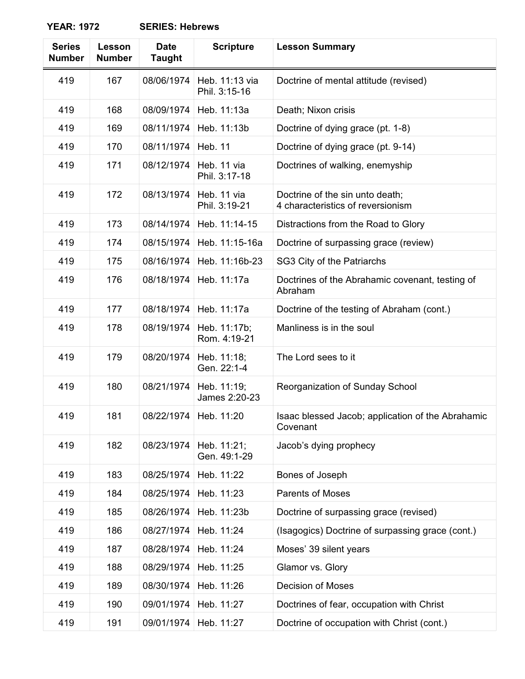**YEAR: 1972** 

| <b>Series</b><br><b>Number</b> | Lesson<br><b>Number</b> | <b>Date</b><br><b>Taught</b> | <b>Scripture</b>                | <b>Lesson Summary</b>                                                |
|--------------------------------|-------------------------|------------------------------|---------------------------------|----------------------------------------------------------------------|
| 419                            | 167                     | 08/06/1974                   | Heb. 11:13 via<br>Phil. 3:15-16 | Doctrine of mental attitude (revised)                                |
| 419                            | 168                     | 08/09/1974                   | Heb. 11:13a                     | Death; Nixon crisis                                                  |
| 419                            | 169                     | 08/11/1974                   | Heb. 11:13b                     | Doctrine of dying grace (pt. 1-8)                                    |
| 419                            | 170                     | 08/11/1974                   | <b>Heb. 11</b>                  | Doctrine of dying grace (pt. 9-14)                                   |
| 419                            | 171                     | 08/12/1974                   | Heb. 11 via<br>Phil. 3:17-18    | Doctrines of walking, enemyship                                      |
| 419                            | 172                     | 08/13/1974                   | Heb. 11 via<br>Phil. 3:19-21    | Doctrine of the sin unto death;<br>4 characteristics of reversionism |
| 419                            | 173                     | 08/14/1974                   | Heb. 11:14-15                   | Distractions from the Road to Glory                                  |
| 419                            | 174                     | 08/15/1974                   | Heb. 11:15-16a                  | Doctrine of surpassing grace (review)                                |
| 419                            | 175                     | 08/16/1974                   | Heb. 11:16b-23                  | SG3 City of the Patriarchs                                           |
| 419                            | 176                     | 08/18/1974                   | Heb. 11:17a                     | Doctrines of the Abrahamic covenant, testing of<br>Abraham           |
| 419                            | 177                     | 08/18/1974                   | Heb. 11:17a                     | Doctrine of the testing of Abraham (cont.)                           |
| 419                            | 178                     | 08/19/1974                   | Heb. 11:17b;<br>Rom. 4:19-21    | Manliness is in the soul                                             |
| 419                            | 179                     | 08/20/1974                   | Heb. 11:18;<br>Gen. 22:1-4      | The Lord sees to it                                                  |
| 419                            | 180                     | 08/21/1974                   | Heb. 11:19;<br>James 2:20-23    | Reorganization of Sunday School                                      |
| 419                            | 181                     | 08/22/1974                   | Heb. 11:20                      | Isaac blessed Jacob; application of the Abrahamic<br>Covenant        |
| 419                            | 182                     | 08/23/1974                   | Heb. 11:21;<br>Gen. 49:1-29     | Jacob's dying prophecy                                               |
| 419                            | 183                     | 08/25/1974                   | Heb. 11:22                      | Bones of Joseph                                                      |
| 419                            | 184                     | 08/25/1974                   | Heb. 11:23                      | <b>Parents of Moses</b>                                              |
| 419                            | 185                     | 08/26/1974                   | Heb. 11:23b                     | Doctrine of surpassing grace (revised)                               |
| 419                            | 186                     | 08/27/1974                   | Heb. 11:24                      | (Isagogics) Doctrine of surpassing grace (cont.)                     |
| 419                            | 187                     | 08/28/1974                   | Heb. 11:24                      | Moses' 39 silent years                                               |
| 419                            | 188                     | 08/29/1974                   | Heb. 11:25                      | Glamor vs. Glory                                                     |
| 419                            | 189                     | 08/30/1974                   | Heb. 11:26                      | <b>Decision of Moses</b>                                             |
| 419                            | 190                     | 09/01/1974                   | Heb. 11:27                      | Doctrines of fear, occupation with Christ                            |
| 419                            | 191                     | 09/01/1974                   | Heb. 11:27                      | Doctrine of occupation with Christ (cont.)                           |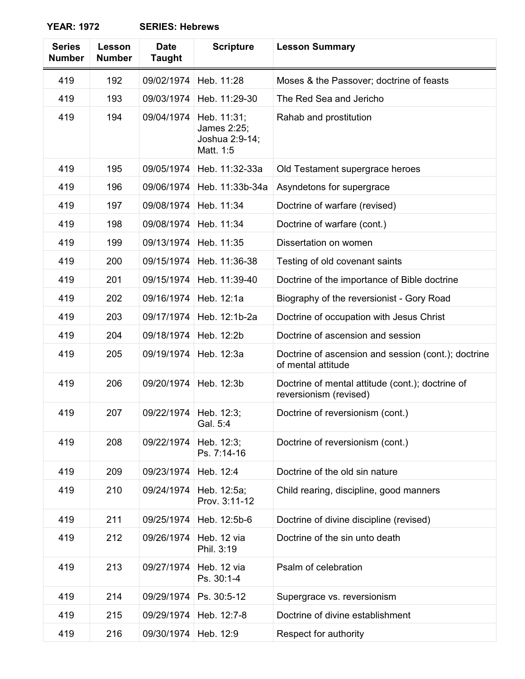| <b>Series</b><br><b>Number</b> | Lesson<br><b>Number</b> | <b>Date</b><br><b>Taught</b> | <b>Scripture</b>                                          | <b>Lesson Summary</b>                                                      |
|--------------------------------|-------------------------|------------------------------|-----------------------------------------------------------|----------------------------------------------------------------------------|
| 419                            | 192                     | 09/02/1974                   | Heb. 11:28                                                | Moses & the Passover; doctrine of feasts                                   |
| 419                            | 193                     | 09/03/1974                   | Heb. 11:29-30                                             | The Red Sea and Jericho                                                    |
| 419                            | 194                     | 09/04/1974                   | Heb. 11:31;<br>James 2:25;<br>Joshua 2:9-14;<br>Matt. 1:5 | Rahab and prostitution                                                     |
| 419                            | 195                     | 09/05/1974                   | Heb. 11:32-33a                                            | Old Testament supergrace heroes                                            |
| 419                            | 196                     | 09/06/1974                   | Heb. 11:33b-34a                                           | Asyndetons for supergrace                                                  |
| 419                            | 197                     | 09/08/1974                   | Heb. 11:34                                                | Doctrine of warfare (revised)                                              |
| 419                            | 198                     | 09/08/1974                   | Heb. 11:34                                                | Doctrine of warfare (cont.)                                                |
| 419                            | 199                     | 09/13/1974                   | Heb. 11:35                                                | Dissertation on women                                                      |
| 419                            | 200                     | 09/15/1974                   | Heb. 11:36-38                                             | Testing of old covenant saints                                             |
| 419                            | 201                     | 09/15/1974                   | Heb. 11:39-40                                             | Doctrine of the importance of Bible doctrine                               |
| 419                            | 202                     | 09/16/1974                   | Heb. 12:1a                                                | Biography of the reversionist - Gory Road                                  |
| 419                            | 203                     | 09/17/1974                   | Heb. 12:1b-2a                                             | Doctrine of occupation with Jesus Christ                                   |
| 419                            | 204                     | 09/18/1974                   | Heb. 12:2b                                                | Doctrine of ascension and session                                          |
| 419                            | 205                     | 09/19/1974                   | Heb. 12:3a                                                | Doctrine of ascension and session (cont.); doctrine<br>of mental attitude  |
| 419                            | 206                     | 09/20/1974                   | Heb. 12:3b                                                | Doctrine of mental attitude (cont.); doctrine of<br>reversionism (revised) |
| 419                            | 207                     | 09/22/1974                   | Heb. 12:3;<br>Gal. 5:4                                    | Doctrine of reversionism (cont.)                                           |
| 419                            | 208                     | 09/22/1974                   | Heb. 12:3;<br>Ps. 7:14-16                                 | Doctrine of reversionism (cont.)                                           |
| 419                            | 209                     | 09/23/1974                   | Heb. 12:4                                                 | Doctrine of the old sin nature                                             |
| 419                            | 210                     | 09/24/1974                   | Heb. 12:5a;<br>Prov. 3:11-12                              | Child rearing, discipline, good manners                                    |
| 419                            | 211                     | 09/25/1974                   | Heb. 12:5b-6                                              | Doctrine of divine discipline (revised)                                    |
| 419                            | 212                     | 09/26/1974                   | Heb. 12 via<br>Phil. 3:19                                 | Doctrine of the sin unto death                                             |
| 419                            | 213                     | 09/27/1974                   | Heb. 12 via<br>Ps. 30:1-4                                 | Psalm of celebration                                                       |
| 419                            | 214                     | 09/29/1974                   | Ps. 30:5-12                                               | Supergrace vs. reversionism                                                |
| 419                            | 215                     | 09/29/1974                   | Heb. 12:7-8                                               | Doctrine of divine establishment                                           |
| 419                            | 216                     | 09/30/1974                   | Heb. 12:9                                                 | Respect for authority                                                      |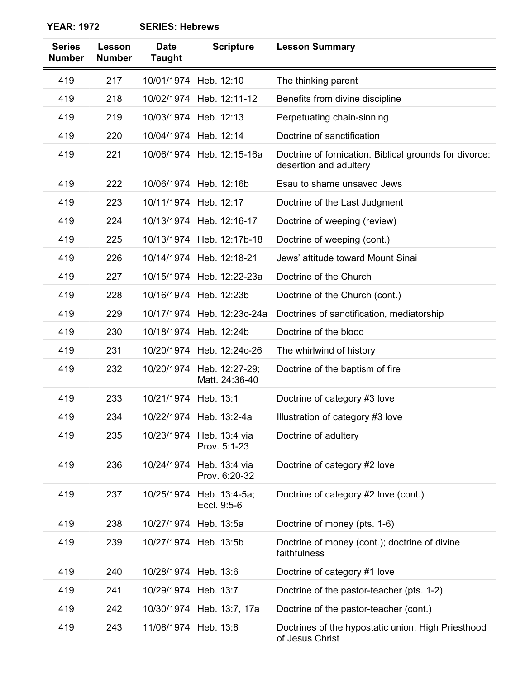| <b>Series</b><br><b>Number</b> | Lesson<br><b>Number</b> | <b>Date</b><br><b>Taught</b> | <b>Scripture</b>                 | <b>Lesson Summary</b>                                                            |
|--------------------------------|-------------------------|------------------------------|----------------------------------|----------------------------------------------------------------------------------|
| 419                            | 217                     | 10/01/1974                   | Heb. 12:10                       | The thinking parent                                                              |
| 419                            | 218                     | 10/02/1974                   | Heb. 12:11-12                    | Benefits from divine discipline                                                  |
| 419                            | 219                     | 10/03/1974                   | Heb. 12:13                       | Perpetuating chain-sinning                                                       |
| 419                            | 220                     | 10/04/1974                   | Heb. 12:14                       | Doctrine of sanctification                                                       |
| 419                            | 221                     | 10/06/1974                   | Heb. 12:15-16a                   | Doctrine of fornication. Biblical grounds for divorce:<br>desertion and adultery |
| 419                            | 222                     | 10/06/1974                   | Heb. 12:16b                      | Esau to shame unsaved Jews                                                       |
| 419                            | 223                     | 10/11/1974                   | Heb. 12:17                       | Doctrine of the Last Judgment                                                    |
| 419                            | 224                     | 10/13/1974                   | Heb. 12:16-17                    | Doctrine of weeping (review)                                                     |
| 419                            | 225                     | 10/13/1974                   | Heb. 12:17b-18                   | Doctrine of weeping (cont.)                                                      |
| 419                            | 226                     | 10/14/1974                   | Heb. 12:18-21                    | Jews' attitude toward Mount Sinai                                                |
| 419                            | 227                     | 10/15/1974                   | Heb. 12:22-23a                   | Doctrine of the Church                                                           |
| 419                            | 228                     | 10/16/1974                   | Heb. 12:23b                      | Doctrine of the Church (cont.)                                                   |
| 419                            | 229                     | 10/17/1974                   | Heb. 12:23c-24a                  | Doctrines of sanctification, mediatorship                                        |
| 419                            | 230                     | 10/18/1974                   | Heb. 12:24b                      | Doctrine of the blood                                                            |
| 419                            | 231                     | 10/20/1974                   | Heb. 12:24c-26                   | The whirlwind of history                                                         |
| 419                            | 232                     | 10/20/1974                   | Heb. 12:27-29;<br>Matt. 24:36-40 | Doctrine of the baptism of fire                                                  |
| 419                            | 233                     | 10/21/1974                   | Heb. 13:1                        | Doctrine of category #3 love                                                     |
| 419                            | 234                     |                              | 10/22/1974   Heb. 13:2-4a        | Illustration of category #3 love                                                 |
| 419                            | 235                     | 10/23/1974                   | Heb. 13:4 via<br>Prov. 5:1-23    | Doctrine of adultery                                                             |
| 419                            | 236                     | 10/24/1974                   | Heb. 13:4 via<br>Prov. 6:20-32   | Doctrine of category #2 love                                                     |
| 419                            | 237                     | 10/25/1974                   | Heb. 13:4-5a;<br>Eccl. 9:5-6     | Doctrine of category #2 love (cont.)                                             |
| 419                            | 238                     | 10/27/1974                   | Heb. 13:5a                       | Doctrine of money (pts. 1-6)                                                     |
| 419                            | 239                     | 10/27/1974                   | Heb. 13:5b                       | Doctrine of money (cont.); doctrine of divine<br>faithfulness                    |
| 419                            | 240                     | 10/28/1974                   | Heb. 13:6                        | Doctrine of category #1 love                                                     |
| 419                            | 241                     | 10/29/1974                   | Heb. 13:7                        | Doctrine of the pastor-teacher (pts. 1-2)                                        |
| 419                            | 242                     | 10/30/1974                   | Heb. 13:7, 17a                   | Doctrine of the pastor-teacher (cont.)                                           |
| 419                            | 243                     | 11/08/1974                   | Heb. 13:8                        | Doctrines of the hypostatic union, High Priesthood<br>of Jesus Christ            |